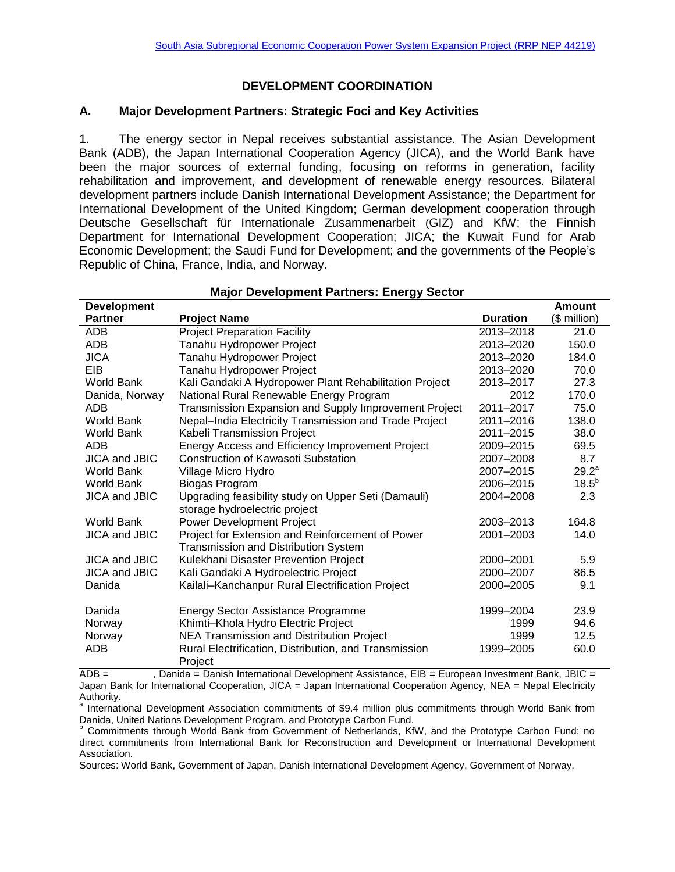### **DEVELOPMENT COORDINATION**

#### **A. Major Development Partners: Strategic Foci and Key Activities**

1. The energy sector in Nepal receives substantial assistance. The Asian Development Bank (ADB), the Japan International Cooperation Agency (JICA), and the World Bank have been the major sources of external funding, focusing on reforms in generation, facility rehabilitation and improvement, and development of renewable energy resources. Bilateral development partners include Danish International Development Assistance; the Department for International Development of the United Kingdom; German development cooperation through Deutsche Gesellschaft für Internationale Zusammenarbeit (GIZ) and KfW; the Finnish Department for International Development Cooperation; JICA; the Kuwait Fund for Arab Economic Development; the Saudi Fund for Development; and the governments of the People's Republic of China, France, India, and Norway.

| <b>Major Development Partners: Energy Sector</b> |                                                        |                 |               |
|--------------------------------------------------|--------------------------------------------------------|-----------------|---------------|
| <b>Development</b>                               |                                                        |                 | <b>Amount</b> |
| <b>Partner</b>                                   | <b>Project Name</b>                                    | <b>Duration</b> | (\$ million)  |
| <b>ADB</b>                                       | <b>Project Preparation Facility</b>                    | 2013-2018       | 21.0          |
| <b>ADB</b>                                       | Tanahu Hydropower Project                              | 2013-2020       | 150.0         |
| <b>JICA</b>                                      | Tanahu Hydropower Project                              | 2013-2020       | 184.0         |
| <b>EIB</b>                                       | Tanahu Hydropower Project                              | 2013-2020       | 70.0          |
| World Bank                                       | Kali Gandaki A Hydropower Plant Rehabilitation Project | 2013-2017       | 27.3          |
| Danida, Norway                                   | National Rural Renewable Energy Program                | 2012            | 170.0         |
| ADB                                              | Transmission Expansion and Supply Improvement Project  | 2011-2017       | 75.0          |
| World Bank                                       | Nepal-India Electricity Transmission and Trade Project | 2011-2016       | 138.0         |
| World Bank                                       | Kabeli Transmission Project                            | 2011-2015       | 38.0          |
| ADB                                              | Energy Access and Efficiency Improvement Project       | 2009-2015       | 69.5          |
| JICA and JBIC                                    | <b>Construction of Kawasoti Substation</b>             | 2007-2008       | 8.7           |
| World Bank                                       | Village Micro Hydro                                    | 2007-2015       | $29.2^a$      |
| World Bank                                       | Biogas Program                                         | 2006-2015       | $18.5^{b}$    |
| <b>JICA and JBIC</b>                             | Upgrading feasibility study on Upper Seti (Damauli)    | 2004-2008       | 2.3           |
|                                                  | storage hydroelectric project                          |                 |               |
| World Bank                                       | Power Development Project                              | 2003-2013       | 164.8         |
| <b>JICA and JBIC</b>                             | Project for Extension and Reinforcement of Power       | 2001-2003       | 14.0          |
|                                                  | Transmission and Distribution System                   |                 |               |
| <b>JICA and JBIC</b>                             | Kulekhani Disaster Prevention Project                  | 2000-2001       | 5.9           |
| <b>JICA and JBIC</b>                             | Kali Gandaki A Hydroelectric Project                   | 2000-2007       | 86.5          |
| Danida                                           | Kailali-Kanchanpur Rural Electrification Project       | 2000-2005       | 9.1           |
|                                                  |                                                        |                 |               |
| Danida                                           | Energy Sector Assistance Programme                     | 1999-2004       | 23.9          |
| Norway                                           | Khimti-Khola Hydro Electric Project                    | 1999            | 94.6          |
| Norway                                           | NEA Transmission and Distribution Project              | 1999            | 12.5          |
| ADB                                              | Rural Electrification, Distribution, and Transmission  | 1999-2005       | 60.0          |
|                                                  | Project                                                |                 |               |

 $\overline{ADB}$  =  $\overline{ADB}$ , Danida = Danish International Development Assistance, EIB = European Investment Bank, JBIC = Japan Bank for International Cooperation, JICA = Japan International Cooperation Agency, NEA = Nepal Electricity Authority.

<sup>a</sup> International Development Association commitments of \$9.4 million plus commitments through World Bank from Danida, United Nations Development Program, and Prototype Carbon Fund.

Commitments through World Bank from Government of Netherlands, KfW, and the Prototype Carbon Fund; no direct commitments from International Bank for Reconstruction and Development or International Development Association.

Sources: World Bank, Government of Japan, Danish International Development Agency, Government of Norway.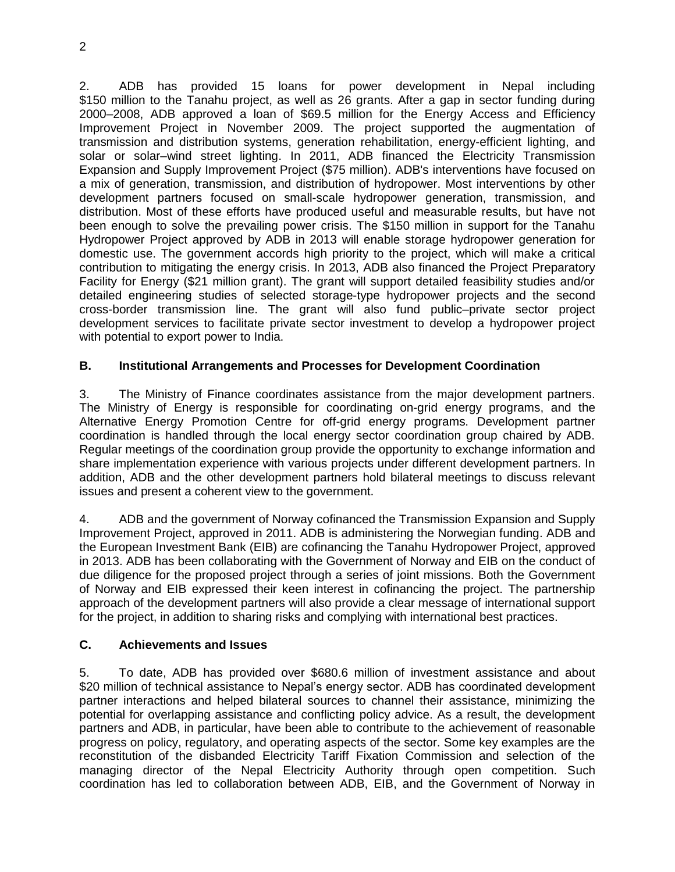2

2. ADB has provided 15 loans for power development in Nepal including \$150 million to the Tanahu project, as well as 26 grants. After a gap in sector funding during 2000–2008, ADB approved a loan of \$69.5 million for the Energy Access and Efficiency Improvement Project in November 2009. The project supported the augmentation of transmission and distribution systems, generation rehabilitation, energy-efficient lighting, and solar or solar–wind street lighting. In 2011, ADB financed the Electricity Transmission Expansion and Supply Improvement Project (\$75 million). ADB's interventions have focused on a mix of generation, transmission, and distribution of hydropower. Most interventions by other development partners focused on small-scale hydropower generation, transmission, and distribution. Most of these efforts have produced useful and measurable results, but have not been enough to solve the prevailing power crisis. The \$150 million in support for the Tanahu Hydropower Project approved by ADB in 2013 will enable storage hydropower generation for domestic use. The government accords high priority to the project, which will make a critical contribution to mitigating the energy crisis. In 2013, ADB also financed the Project Preparatory Facility for Energy (\$21 million grant). The grant will support detailed feasibility studies and/or detailed engineering studies of selected storage-type hydropower projects and the second cross-border transmission line. The grant will also fund public–private sector project development services to facilitate private sector investment to develop a hydropower project with potential to export power to India.

# **B. Institutional Arrangements and Processes for Development Coordination**

3. The Ministry of Finance coordinates assistance from the major development partners. The Ministry of Energy is responsible for coordinating on-grid energy programs, and the Alternative Energy Promotion Centre for off-grid energy programs. Development partner coordination is handled through the local energy sector coordination group chaired by ADB. Regular meetings of the coordination group provide the opportunity to exchange information and share implementation experience with various projects under different development partners. In addition, ADB and the other development partners hold bilateral meetings to discuss relevant issues and present a coherent view to the government.

4. ADB and the government of Norway cofinanced the Transmission Expansion and Supply Improvement Project, approved in 2011. ADB is administering the Norwegian funding. ADB and the European Investment Bank (EIB) are cofinancing the Tanahu Hydropower Project, approved in 2013. ADB has been collaborating with the Government of Norway and EIB on the conduct of due diligence for the proposed project through a series of joint missions. Both the Government of Norway and EIB expressed their keen interest in cofinancing the project. The partnership approach of the development partners will also provide a clear message of international support for the project, in addition to sharing risks and complying with international best practices.

## **C. Achievements and Issues**

5. To date, ADB has provided over \$680.6 million of investment assistance and about \$20 million of technical assistance to Nepal's energy sector. ADB has coordinated development partner interactions and helped bilateral sources to channel their assistance, minimizing the potential for overlapping assistance and conflicting policy advice. As a result, the development partners and ADB, in particular, have been able to contribute to the achievement of reasonable progress on policy, regulatory, and operating aspects of the sector. Some key examples are the reconstitution of the disbanded Electricity Tariff Fixation Commission and selection of the managing director of the Nepal Electricity Authority through open competition. Such coordination has led to collaboration between ADB, EIB, and the Government of Norway in